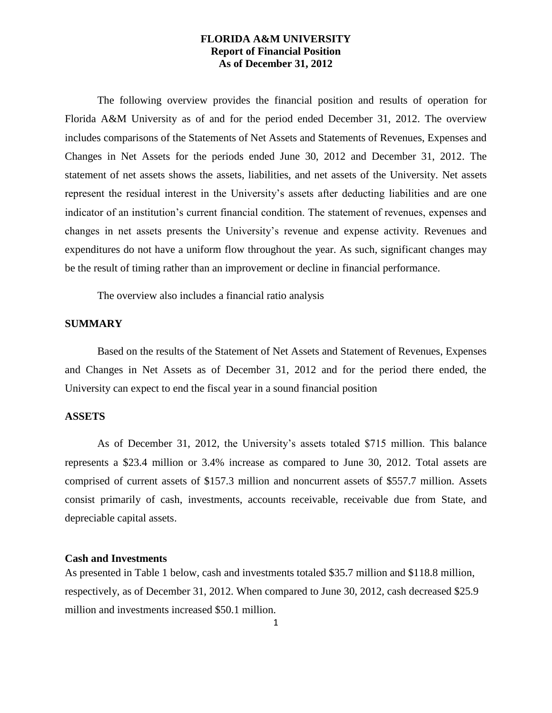The following overview provides the financial position and results of operation for Florida A&M University as of and for the period ended December 31, 2012. The overview includes comparisons of the Statements of Net Assets and Statements of Revenues, Expenses and Changes in Net Assets for the periods ended June 30, 2012 and December 31, 2012. The statement of net assets shows the assets, liabilities, and net assets of the University. Net assets represent the residual interest in the University's assets after deducting liabilities and are one indicator of an institution's current financial condition. The statement of revenues, expenses and changes in net assets presents the University's revenue and expense activity. Revenues and expenditures do not have a uniform flow throughout the year. As such, significant changes may be the result of timing rather than an improvement or decline in financial performance.

The overview also includes a financial ratio analysis

#### **SUMMARY**

Based on the results of the Statement of Net Assets and Statement of Revenues, Expenses and Changes in Net Assets as of December 31, 2012 and for the period there ended, the University can expect to end the fiscal year in a sound financial position

#### **ASSETS**

As of December 31, 2012, the University's assets totaled \$715 million. This balance represents a \$23.4 million or 3.4% increase as compared to June 30, 2012. Total assets are comprised of current assets of \$157.3 million and noncurrent assets of \$557.7 million. Assets consist primarily of cash, investments, accounts receivable, receivable due from State, and depreciable capital assets.

#### **Cash and Investments**

As presented in Table 1 below, cash and investments totaled \$35.7 million and \$118.8 million, respectively, as of December 31, 2012. When compared to June 30, 2012, cash decreased \$25.9 million and investments increased \$50.1 million.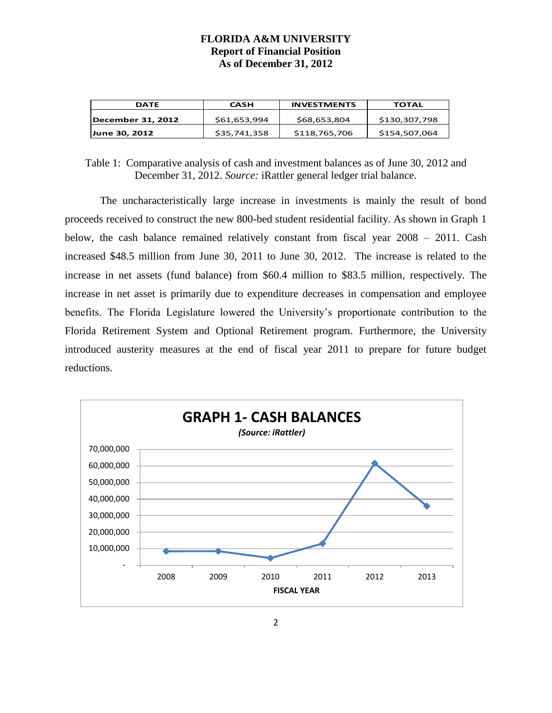| <b>DATE</b>       | <b>CASH</b>  | <b>INVESTMENTS</b> | TOTAL         |  |  |  |
|-------------------|--------------|--------------------|---------------|--|--|--|
| December 31, 2012 | \$61,653,994 | \$68,653,804       | \$130.307.798 |  |  |  |
| June 30, 2012     | \$35,741,358 | \$118,765,706      | \$154,507,064 |  |  |  |

Table 1: Comparative analysis of cash and investment balances as of June 30, 2012 and December 31, 2012. *Source:* iRattler general ledger trial balance.

The uncharacteristically large increase in investments is mainly the result of bond proceeds received to construct the new 800-bed student residential facility. As shown in Graph 1 below, the cash balance remained relatively constant from fiscal year 2008 – 2011. Cash increased \$48.5 million from June 30, 2011 to June 30, 2012. The increase is related to the increase in net assets (fund balance) from \$60.4 million to \$83.5 million, respectively. The increase in net asset is primarily due to expenditure decreases in compensation and employee benefits. The Florida Legislature lowered the University's proportionate contribution to the Florida Retirement System and Optional Retirement program. Furthermore, the University introduced austerity measures at the end of fiscal year 2011 to prepare for future budget reductions.

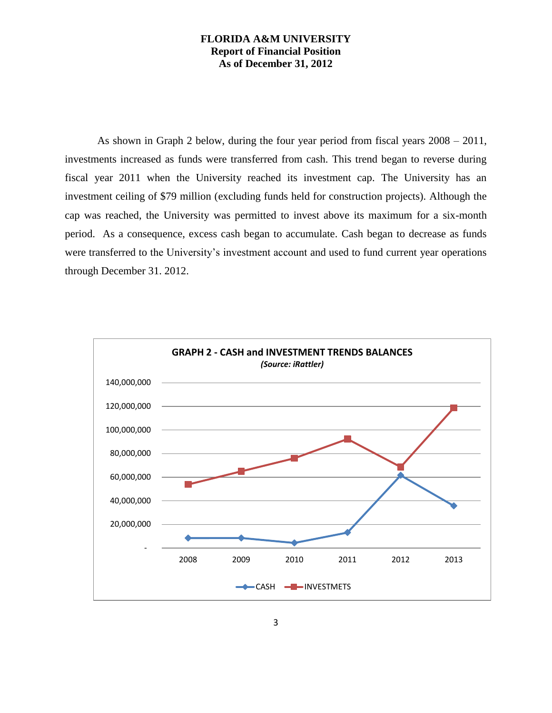As shown in Graph 2 below, during the four year period from fiscal years 2008 – 2011, investments increased as funds were transferred from cash. This trend began to reverse during fiscal year 2011 when the University reached its investment cap. The University has an investment ceiling of \$79 million (excluding funds held for construction projects). Although the cap was reached, the University was permitted to invest above its maximum for a six-month period. As a consequence, excess cash began to accumulate. Cash began to decrease as funds were transferred to the University's investment account and used to fund current year operations through December 31. 2012.

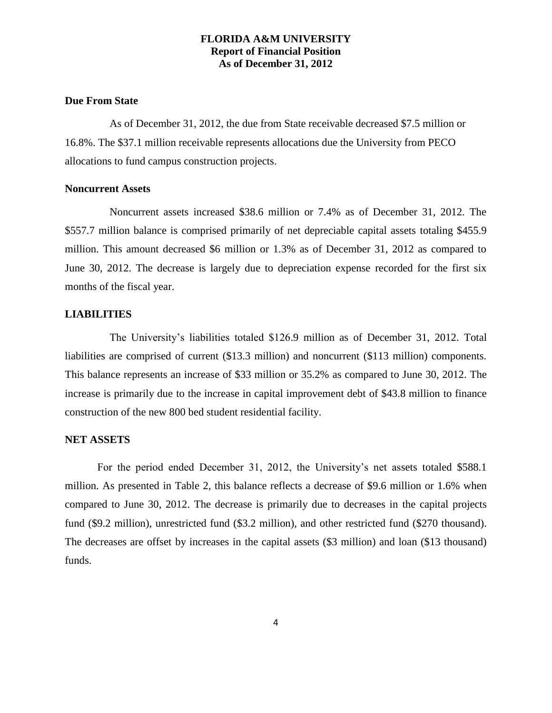## **Due From State**

As of December 31, 2012, the due from State receivable decreased \$7.5 million or 16.8%. The \$37.1 million receivable represents allocations due the University from PECO allocations to fund campus construction projects.

#### **Noncurrent Assets**

Noncurrent assets increased \$38.6 million or 7.4% as of December 31, 2012. The \$557.7 million balance is comprised primarily of net depreciable capital assets totaling \$455.9 million. This amount decreased \$6 million or 1.3% as of December 31, 2012 as compared to June 30, 2012. The decrease is largely due to depreciation expense recorded for the first six months of the fiscal year.

#### **LIABILITIES**

The University's liabilities totaled \$126.9 million as of December 31, 2012. Total liabilities are comprised of current (\$13.3 million) and noncurrent (\$113 million) components. This balance represents an increase of \$33 million or 35.2% as compared to June 30, 2012. The increase is primarily due to the increase in capital improvement debt of \$43.8 million to finance construction of the new 800 bed student residential facility.

#### **NET ASSETS**

For the period ended December 31, 2012, the University's net assets totaled \$588.1 million. As presented in Table 2, this balance reflects a decrease of \$9.6 million or 1.6% when compared to June 30, 2012. The decrease is primarily due to decreases in the capital projects fund (\$9.2 million), unrestricted fund (\$3.2 million), and other restricted fund (\$270 thousand). The decreases are offset by increases in the capital assets (\$3 million) and loan (\$13 thousand) funds.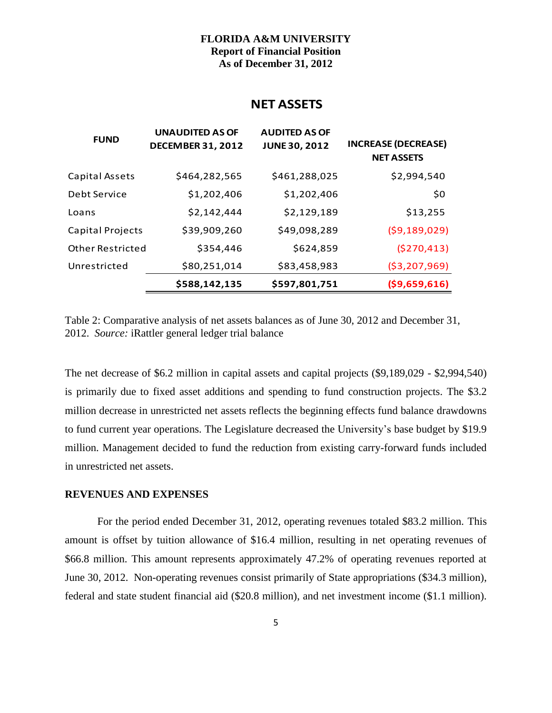## **NET ASSETS**

| <b>FUND</b>             | <b>UNAUDITED AS OF</b><br><b>DECEMBER 31, 2012</b> | <b>AUDITED AS OF</b><br><b>JUNE 30, 2012</b> | <b>INCREASE (DECREASE)</b><br><b>NET ASSETS</b> |
|-------------------------|----------------------------------------------------|----------------------------------------------|-------------------------------------------------|
| Capital Assets          | \$464,282,565                                      | \$461,288,025                                | \$2,994,540                                     |
| Debt Service            | \$1,202,406                                        | \$1,202,406                                  | \$0                                             |
| Loans                   | \$2,142,444                                        | \$2,129,189                                  | \$13,255                                        |
| Capital Projects        | \$39,909,260                                       | \$49,098,289                                 | (59, 189, 029)                                  |
| <b>Other Restricted</b> | \$354,446                                          | \$624,859                                    | (5270, 413)                                     |
| Unrestricted            | \$80,251,014                                       | \$83,458,983                                 | ( \$3, 207, 969)                                |
|                         | \$588,142,135                                      | \$597,801,751                                | ( \$9,659,616)                                  |

Table 2: Comparative analysis of net assets balances as of June 30, 2012 and December 31, 2012. *Source:* iRattler general ledger trial balance

The net decrease of \$6.2 million in capital assets and capital projects (\$9,189,029 - \$2,994,540) is primarily due to fixed asset additions and spending to fund construction projects. The \$3.2 million decrease in unrestricted net assets reflects the beginning effects fund balance drawdowns to fund current year operations. The Legislature decreased the University's base budget by \$19.9 million. Management decided to fund the reduction from existing carry-forward funds included in unrestricted net assets.

#### **REVENUES AND EXPENSES**

For the period ended December 31, 2012, operating revenues totaled \$83.2 million. This amount is offset by tuition allowance of \$16.4 million, resulting in net operating revenues of \$66.8 million. This amount represents approximately 47.2% of operating revenues reported at June 30, 2012. Non-operating revenues consist primarily of State appropriations (\$34.3 million), federal and state student financial aid (\$20.8 million), and net investment income (\$1.1 million).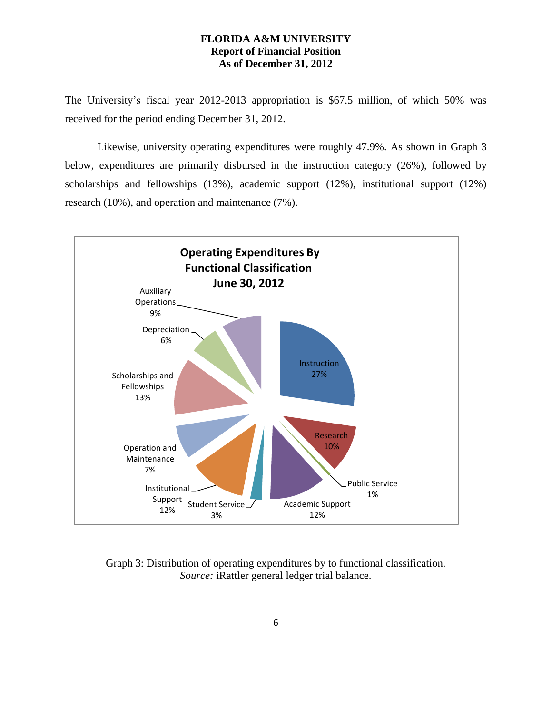The University's fiscal year 2012-2013 appropriation is \$67.5 million, of which 50% was received for the period ending December 31, 2012.

Likewise, university operating expenditures were roughly 47.9%. As shown in Graph 3 below, expenditures are primarily disbursed in the instruction category (26%), followed by scholarships and fellowships (13%), academic support (12%), institutional support (12%) research (10%), and operation and maintenance (7%).



Graph 3: Distribution of operating expenditures by to functional classification. *Source:* iRattler general ledger trial balance.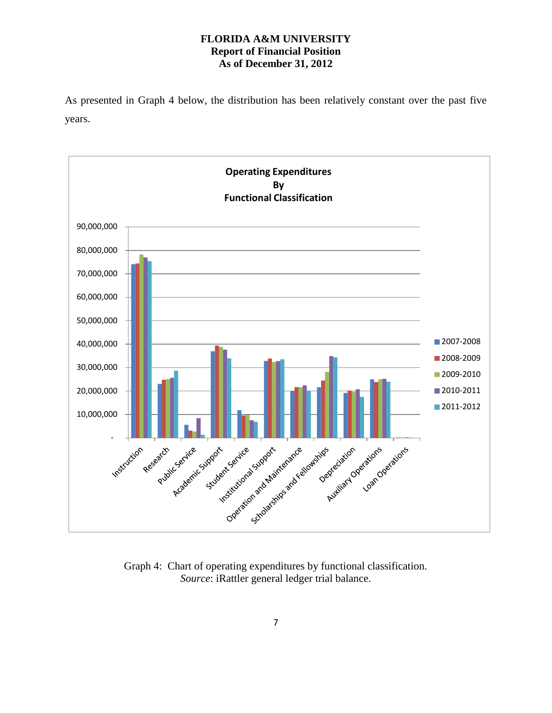As presented in Graph 4 below, the distribution has been relatively constant over the past five years.



Graph 4: Chart of operating expenditures by functional classification. *Source*: iRattler general ledger trial balance.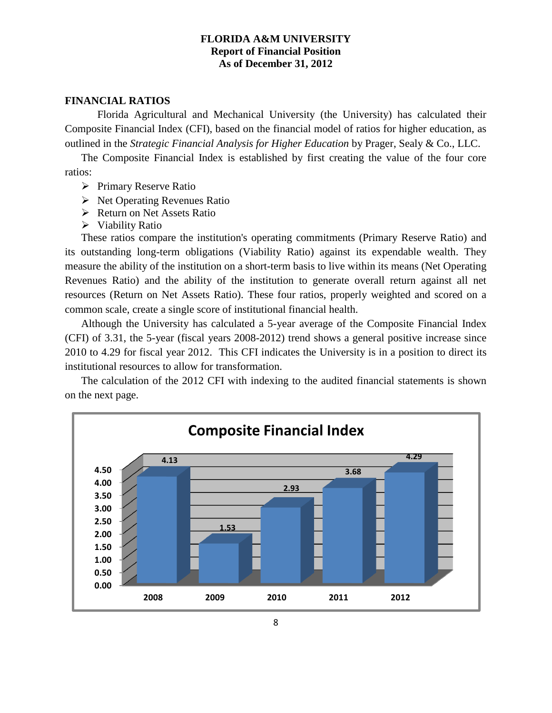#### **FINANCIAL RATIOS**

Florida Agricultural and Mechanical University (the University) has calculated their Composite Financial Index (CFI), based on the financial model of ratios for higher education, as outlined in the *Strategic Financial Analysis for Higher Education* by Prager, Sealy & Co., LLC.

The Composite Financial Index is established by first creating the value of the four core ratios:

- $\triangleright$  Primary Reserve Ratio
- $\triangleright$  Net Operating Revenues Ratio
- Return on Net Assets Ratio
- $\triangleright$  Viability Ratio

These ratios compare the institution's operating commitments (Primary Reserve Ratio) and its outstanding long-term obligations (Viability Ratio) against its expendable wealth. They measure the ability of the institution on a short-term basis to live within its means (Net Operating Revenues Ratio) and the ability of the institution to generate overall return against all net resources (Return on Net Assets Ratio). These four ratios, properly weighted and scored on a common scale, create a single score of institutional financial health.

Although the University has calculated a 5-year average of the Composite Financial Index (CFI) of 3.31, the 5-year (fiscal years 2008-2012) trend shows a general positive increase since 2010 to 4.29 for fiscal year 2012. This CFI indicates the University is in a position to direct its institutional resources to allow for transformation.

The calculation of the 2012 CFI with indexing to the audited financial statements is shown on the next page.

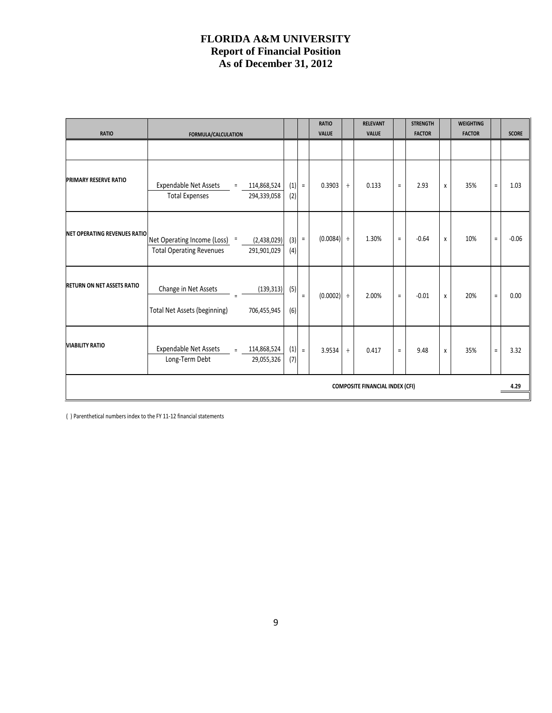|                                        |                                                                                                |                |          | <b>RATIO</b> |        | <b>RELEVANT</b> |          | <b>STRENGTH</b> |   | <b>WEIGHTING</b> |          |              |
|----------------------------------------|------------------------------------------------------------------------------------------------|----------------|----------|--------------|--------|-----------------|----------|-----------------|---|------------------|----------|--------------|
| <b>RATIO</b>                           | FORMULA/CALCULATION                                                                            |                |          | <b>VALUE</b> |        | <b>VALUE</b>    |          | <b>FACTOR</b>   |   | <b>FACTOR</b>    |          | <b>SCORE</b> |
|                                        |                                                                                                |                |          |              |        |                 |          |                 |   |                  |          |              |
| <b>PRIMARY RESERVE RATIO</b>           | Expendable Net Assets =<br>114,868,524<br><b>Total Expenses</b><br>294,339,058                 | (1)<br>(2)     | $\equiv$ | 0.3903       | $\div$ | 0.133           | $\equiv$ | 2.93            | X | 35%              | $\equiv$ | 1.03         |
| <b>NET OPERATING REVENUES RATIO</b>    | Net Operating Income (Loss) =<br>(2,438,029)<br><b>Total Operating Revenues</b><br>291,901,029 | $(3) =$<br>(4) |          | $(0.0084)$ ÷ |        | 1.30%           | $\equiv$ | $-0.64$         | X | 10%              | $\equiv$ | $-0.06$      |
| <b>RETURN ON NET ASSETS RATIO</b>      | Change in Net Assets<br>(139, 313)<br><b>Total Net Assets (beginning)</b><br>706,455,945       | (5)<br>(6)     | $\equiv$ | $(0.0002)$ ÷ |        | 2.00%           | $\equiv$ | $-0.01$         | X | 20%              | $\equiv$ | 0.00         |
| <b>VIABILITY RATIO</b>                 | Expendable Net Assets = 114,868,524<br>Long-Term Debt<br>29,055,326                            | (7)            | $(1) =$  | 3.9534       | $\div$ | 0.417           | $\equiv$ | 9.48            | X | 35%              | $\equiv$ | 3.32         |
| <b>COMPOSITE FINANCIAL INDEX (CFI)</b> |                                                                                                |                |          |              |        |                 |          | 4.29            |   |                  |          |              |

( ) Parenthetical numbers index to the FY 11-12 financial statements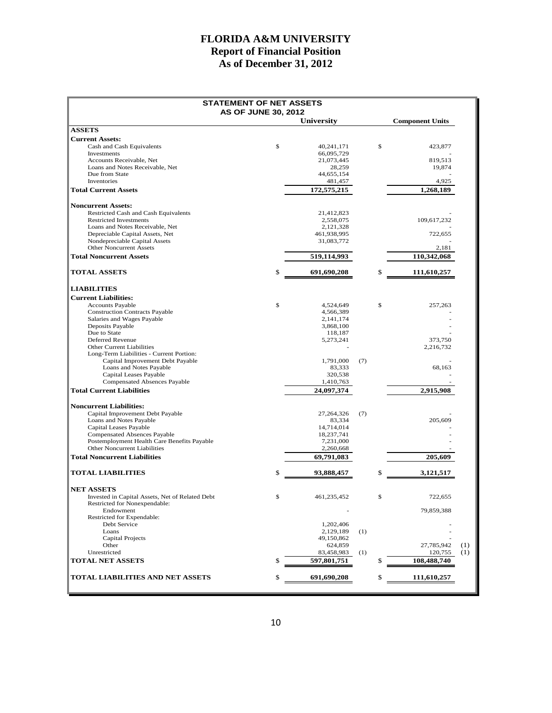| <b>STATEMENT OF NET ASSETS</b>                                                     |                           |     |                        |     |
|------------------------------------------------------------------------------------|---------------------------|-----|------------------------|-----|
| <b>AS OF JUNE 30, 2012</b>                                                         | <b>University</b>         |     | <b>Component Units</b> |     |
| <b>ASSETS</b>                                                                      |                           |     |                        |     |
| <b>Current Assets:</b>                                                             |                           |     |                        |     |
| Cash and Cash Equivalents                                                          | \$<br>40.241.171          | \$  | 423,877                |     |
| Investments<br>Accounts Receivable, Net                                            | 66,095,729                |     | 819.513                |     |
| Loans and Notes Receivable, Net                                                    | 21,073,445<br>28,259      |     | 19,874                 |     |
| Due from State                                                                     | 44,655,154                |     |                        |     |
| Inventories                                                                        | 481,457                   |     | 4,925                  |     |
| <b>Total Current Assets</b>                                                        | 172,575,215               |     | 1,268,189              |     |
| <b>Noncurrent Assets:</b>                                                          |                           |     |                        |     |
| Restricted Cash and Cash Equivalents                                               | 21,412,823                |     |                        |     |
| <b>Restricted Investments</b>                                                      | 2,558,075                 |     | 109,617,232            |     |
| Loans and Notes Receivable, Net                                                    | 2,121,328                 |     |                        |     |
| Depreciable Capital Assets, Net<br>Nondepreciable Capital Assets                   | 461,938,995<br>31,083,772 |     | 722,655                |     |
| <b>Other Noncurrent Assets</b>                                                     |                           |     | 2,181                  |     |
| <b>Total Noncurrent Assets</b>                                                     | 519,114,993               |     | 110,342,068            |     |
| <b>TOTAL ASSETS</b>                                                                | \$<br>691,690,208         | \$  | 111,610,257            |     |
| <b>LIABILITIES</b>                                                                 |                           |     |                        |     |
| <b>Current Liabilities:</b>                                                        |                           |     |                        |     |
| <b>Accounts Payable</b>                                                            | \$<br>4,524,649           | \$  | 257,263                |     |
| <b>Construction Contracts Payable</b>                                              | 4,566,389                 |     |                        |     |
| Salaries and Wages Payable                                                         | 2, 141, 174               |     |                        |     |
| Deposits Payable<br>Due to State                                                   | 3,868,100<br>118,187      |     |                        |     |
| Deferred Revenue                                                                   | 5,273,241                 |     | 373,750                |     |
| Other Current Liabilities                                                          |                           |     | 2,216,732              |     |
| Long-Term Liabilities - Current Portion:                                           |                           |     |                        |     |
| Capital Improvement Debt Payable                                                   | 1,791,000                 | (7) |                        |     |
| Loans and Notes Payable<br>Capital Leases Payable                                  | 83,333<br>320,538         |     | 68,163                 |     |
| <b>Compensated Absences Payable</b>                                                | 1,410,763                 |     |                        |     |
| <b>Total Current Liabilities</b>                                                   | 24,097,374                |     | 2,915,908              |     |
| <b>Noncurrent Liabilities:</b>                                                     |                           |     |                        |     |
| Capital Improvement Debt Payable                                                   | 27,264,326                | (7) |                        |     |
| Loans and Notes Payable                                                            | 83,334                    |     | 205,609                |     |
| Capital Leases Payable                                                             | 14,714,014                |     |                        |     |
| <b>Compensated Absences Payable</b><br>Postemployment Health Care Benefits Payable | 18,237,741<br>7,231,000   |     |                        |     |
| <b>Other Noncurrent Liabilities</b>                                                | 2,260,668                 |     |                        |     |
| <b>Total Noncurrent Liabilities</b>                                                | 69,791,083                |     | 205,609                |     |
| <b>TOTAL LIABILITIES</b>                                                           | 93,888,457                | \$  | 3,121,517              |     |
| <b>NET ASSETS</b>                                                                  |                           |     |                        |     |
| Invested in Capital Assets, Net of Related Debt                                    | \$<br>461,235,452         | \$  | 722,655                |     |
| Restricted for Nonexpendable:                                                      |                           |     |                        |     |
| Endowment                                                                          |                           |     | 79,859,388             |     |
| Restricted for Expendable:<br>Debt Service                                         | 1,202,406                 |     |                        |     |
| Loans                                                                              | 2,129,189                 | (1) |                        |     |
| Capital Projects                                                                   | 49,150,862                |     |                        |     |
| Other                                                                              | 624,859                   |     | 27,785,942             | (1) |
| Unrestricted                                                                       | 83,458,983                | (1) | 120,755                | (1) |
| <b>TOTAL NET ASSETS</b>                                                            | 597,801,751               | \$  | 108,488,740            |     |
| <b>TOTAL LIABILITIES AND NET ASSETS</b>                                            | 691,690,208               | \$  | 111,610,257            |     |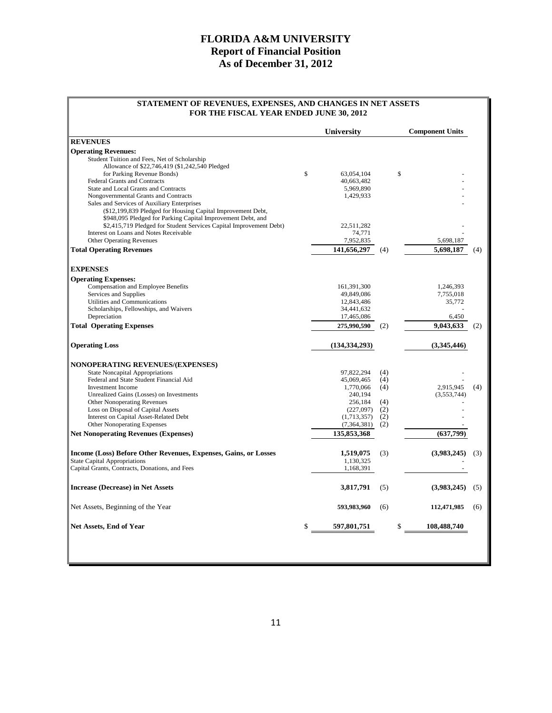#### **STATEMENT OF REVENUES, EXPENSES, AND CHANGES IN NET ASSETS FOR THE FISCAL YEAR ENDED JUNE 30, 2012**

|                                                                    |    | University              |     | <b>Component Units</b> |     |  |  |
|--------------------------------------------------------------------|----|-------------------------|-----|------------------------|-----|--|--|
| <b>REVENUES</b>                                                    |    |                         |     |                        |     |  |  |
| <b>Operating Revenues:</b>                                         |    |                         |     |                        |     |  |  |
| Student Tuition and Fees, Net of Scholarship                       |    |                         |     |                        |     |  |  |
| Allowance of \$22,746,419 (\$1,242,540 Pledged                     |    |                         |     |                        |     |  |  |
| for Parking Revenue Bonds)<br><b>Federal Grants and Contracts</b>  | \$ | 63,054,104              | \$  |                        |     |  |  |
| State and Local Grants and Contracts                               |    | 40,663,482<br>5,969,890 |     |                        |     |  |  |
| Nongovernmental Grants and Contracts                               |    | 1,429,933               |     |                        |     |  |  |
| Sales and Services of Auxiliary Enterprises                        |    |                         |     |                        |     |  |  |
| (\$12,199,839 Pledged for Housing Capital Improvement Debt,        |    |                         |     |                        |     |  |  |
| \$948,095 Pledged for Parking Capital Improvement Debt, and        |    |                         |     |                        |     |  |  |
| \$2,415,719 Pledged for Student Services Capital Improvement Debt) |    | 22,511,282              |     |                        |     |  |  |
| Interest on Loans and Notes Receivable                             |    | 74,771                  |     |                        |     |  |  |
| <b>Other Operating Revenues</b>                                    |    | 7,952,835               |     | 5,698,187              |     |  |  |
| <b>Total Operating Revenues</b>                                    |    | 141,656,297             | (4) | 5,698,187              | (4) |  |  |
|                                                                    |    |                         |     |                        |     |  |  |
| <b>EXPENSES</b>                                                    |    |                         |     |                        |     |  |  |
| <b>Operating Expenses:</b>                                         |    |                         |     |                        |     |  |  |
| Compensation and Employee Benefits                                 |    | 161,391,300             |     | 1,246,393              |     |  |  |
| Services and Supplies                                              |    | 49,849,086              |     | 7,755,018              |     |  |  |
| Utilities and Communications                                       |    | 12,843,486              |     | 35,772                 |     |  |  |
| Scholarships, Fellowships, and Waivers                             |    | 34,441,632              |     |                        |     |  |  |
| Depreciation                                                       |    | 17,465,086              |     | 6,450                  |     |  |  |
| <b>Total Operating Expenses</b>                                    |    | 275,990,590             | (2) | 9,043,633              | (2) |  |  |
| <b>Operating Loss</b>                                              |    | (134, 334, 293)         |     | (3,345,446)            |     |  |  |
| NONOPERATING REVENUES/(EXPENSES)                                   |    |                         |     |                        |     |  |  |
| <b>State Noncapital Appropriations</b>                             |    | 97.822.294              | (4) |                        |     |  |  |
| Federal and State Student Financial Aid                            |    | 45,069,465              | (4) |                        |     |  |  |
| <b>Investment Income</b>                                           |    | 1,770,066               | (4) | 2,915,945              | (4) |  |  |
| Unrealized Gains (Losses) on Investments                           |    | 240,194                 |     | (3,553,744)            |     |  |  |
| <b>Other Nonoperating Revenues</b>                                 |    | 256,184                 | (4) |                        |     |  |  |
| Loss on Disposal of Capital Assets                                 |    | (227,097)               | (2) |                        |     |  |  |
| Interest on Capital Asset-Related Debt                             |    | (1,713,357)             | (2) |                        |     |  |  |
| <b>Other Nonoperating Expenses</b>                                 |    | (7,364,381)             | (2) |                        |     |  |  |
| <b>Net Nonoperating Revenues (Expenses)</b>                        |    | 135,853,368             |     | (637,799)              |     |  |  |
| Income (Loss) Before Other Revenues, Expenses, Gains, or Losses    |    | 1,519,075               | (3) | (3,983,245)            | (3) |  |  |
| <b>State Capital Appropriations</b>                                |    | 1,130,325               |     |                        |     |  |  |
| Capital Grants, Contracts, Donations, and Fees                     |    | 1,168,391               |     |                        |     |  |  |
|                                                                    |    |                         |     |                        |     |  |  |
| <b>Increase (Decrease) in Net Assets</b>                           |    | 3,817,791               | (5) | (3,983,245)            | (5) |  |  |
| Net Assets, Beginning of the Year                                  |    | 593,983,960             | (6) | 112,471,985            | (6) |  |  |
|                                                                    |    |                         |     | \$<br>108,488,740      |     |  |  |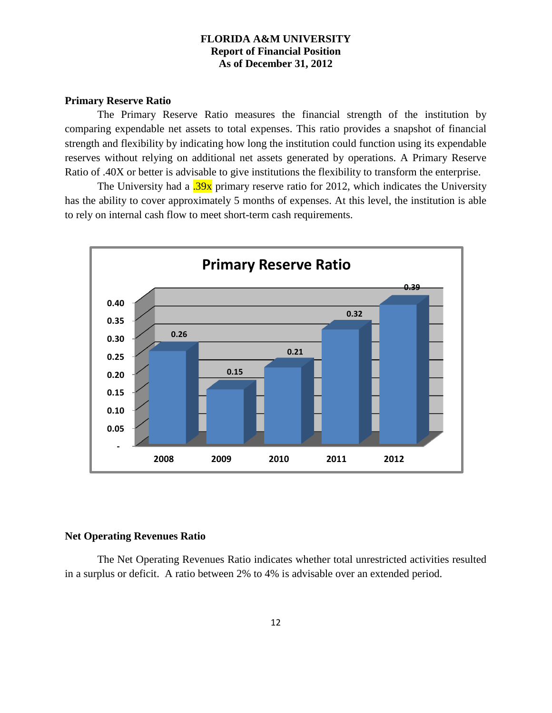#### **Primary Reserve Ratio**

The Primary Reserve Ratio measures the financial strength of the institution by comparing expendable net assets to total expenses. This ratio provides a snapshot of financial strength and flexibility by indicating how long the institution could function using its expendable reserves without relying on additional net assets generated by operations. A Primary Reserve Ratio of .40X or better is advisable to give institutions the flexibility to transform the enterprise.

The University had a <sup>2</sup>.39x primary reserve ratio for 2012, which indicates the University has the ability to cover approximately 5 months of expenses. At this level, the institution is able to rely on internal cash flow to meet short-term cash requirements.



## **Net Operating Revenues Ratio**

The Net Operating Revenues Ratio indicates whether total unrestricted activities resulted in a surplus or deficit. A ratio between 2% to 4% is advisable over an extended period.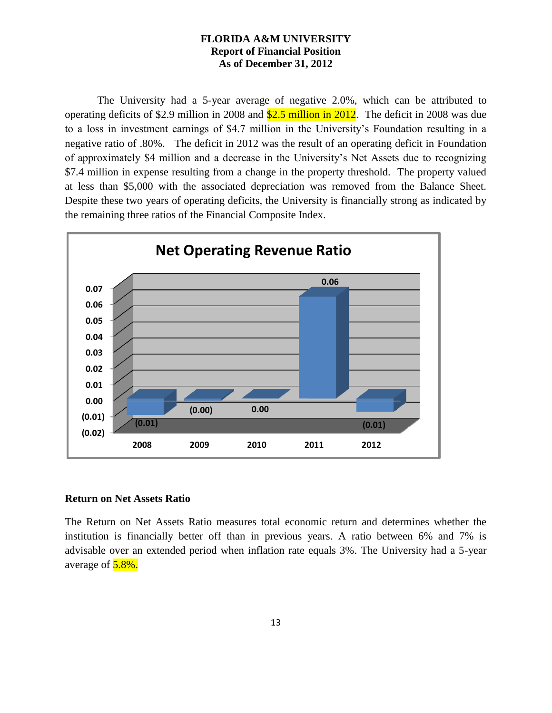The University had a 5-year average of negative 2.0%, which can be attributed to operating deficits of \$2.9 million in 2008 and \$2.5 million in 2012. The deficit in 2008 was due to a loss in investment earnings of \$4.7 million in the University's Foundation resulting in a negative ratio of .80%. The deficit in 2012 was the result of an operating deficit in Foundation of approximately \$4 million and a decrease in the University's Net Assets due to recognizing \$7.4 million in expense resulting from a change in the property threshold. The property valued at less than \$5,000 with the associated depreciation was removed from the Balance Sheet. Despite these two years of operating deficits, the University is financially strong as indicated by the remaining three ratios of the Financial Composite Index.



#### **Return on Net Assets Ratio**

The Return on Net Assets Ratio measures total economic return and determines whether the institution is financially better off than in previous years. A ratio between 6% and 7% is advisable over an extended period when inflation rate equals 3%. The University had a 5-year average of  $5.8\%$ .